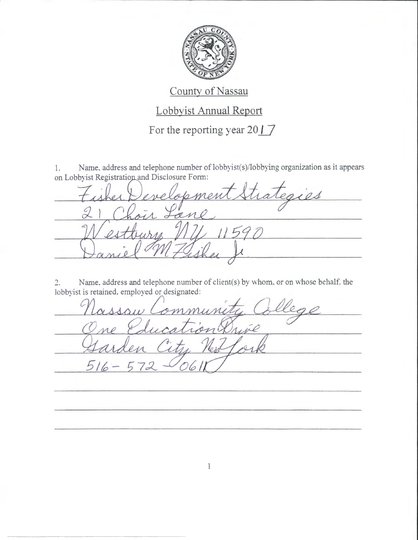

---- ------ ----- --------------------

## County of Nassau

## Lobbyist Annual Report

For the reporting year  $2017$ 

Name, address and telephone number of lobbyist(s)/lobbying organization as it appears 1. on Lobbyist Registration and Disclosure Form:

aies r

2. Name. address and telephone number of client(s) by whom, or on whose behalf, the lobbyist is retained. employed or designated:

<sup>5</sup> 16- $57c$ 6

 $\mathbf{1}$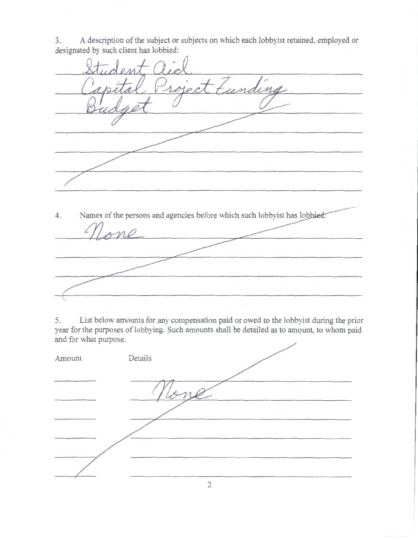3. A description of the subject or subjects on which each lobbyist retained, employed or designated by such client has lobbied:

ect  $\overline{M}$ 4. Names of the persons and agencies before which such lobbyist has lobbied:

5. List below amounts for any compensation paid or owed to the lobbyist during the prior year for the purposes of lobbying. Such amounts shall be detailed as to amount, to whom paid and for what purpose.

| Amount | Details |  |
|--------|---------|--|
|        |         |  |
|        |         |  |
|        |         |  |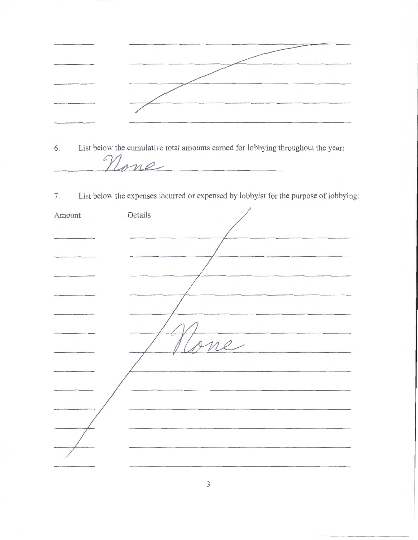6. List below the cumulative total amounts earned for lobbying throughout the year: None

7. List below the expenses incurred or expensed by lobbyist for the purpose of lobbying:

| Amount | Details      |
|--------|--------------|
|        |              |
|        |              |
|        |              |
|        |              |
|        |              |
|        |              |
|        | $\ell$<br>ne |
|        |              |
|        |              |
|        |              |
|        |              |
|        |              |
|        |              |